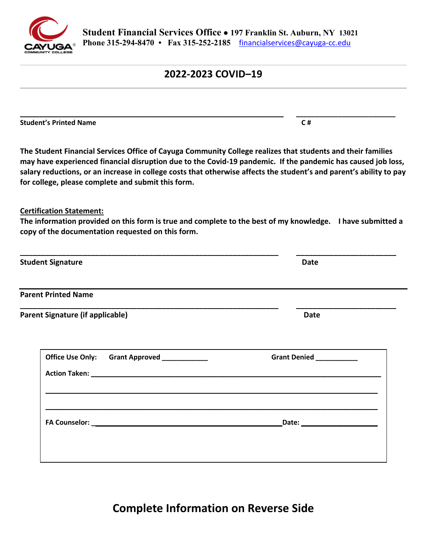

# **2022-2023 COVID–19**

**\_\_\_\_\_\_\_\_\_\_\_\_\_\_\_\_\_\_\_\_\_\_\_\_\_\_\_\_\_\_\_\_\_\_\_\_\_\_\_\_\_\_\_\_\_\_\_\_\_\_\_\_\_\_\_\_\_\_\_\_\_\_\_\_\_\_\_\_\_ \_\_\_\_\_\_\_\_\_\_\_\_\_\_\_\_\_\_\_\_\_\_\_\_\_\_** 

**Student's Printed Name C #**  $C \#$ 

 **The Student Financial Services Office of Cayuga Community College realizes that students and their families may have experienced financial disruption due to the Covid-19 pandemic. If the pandemic has caused job loss, salary reductions, or an increase in college costs that otherwise affects the student's and parent's ability to pay for college, please complete and submit this form.** 

#### **Certification Statement:**

 **The information provided on this form is true and complete to the best of my knowledge. I have submitted a copy of the documentation requested on this form.** 

| <b>Date</b>                                                                                                                                             |
|---------------------------------------------------------------------------------------------------------------------------------------------------------|
|                                                                                                                                                         |
|                                                                                                                                                         |
| Grant Denied __________                                                                                                                                 |
| <u> 1989 - Johann Harry Harry Harry Harry Harry Harry Harry Harry Harry Harry Harry Harry Harry Harry Harry Harry</u><br>_Date: _______________________ |
|                                                                                                                                                         |

**Complete Information on Reverse Side**